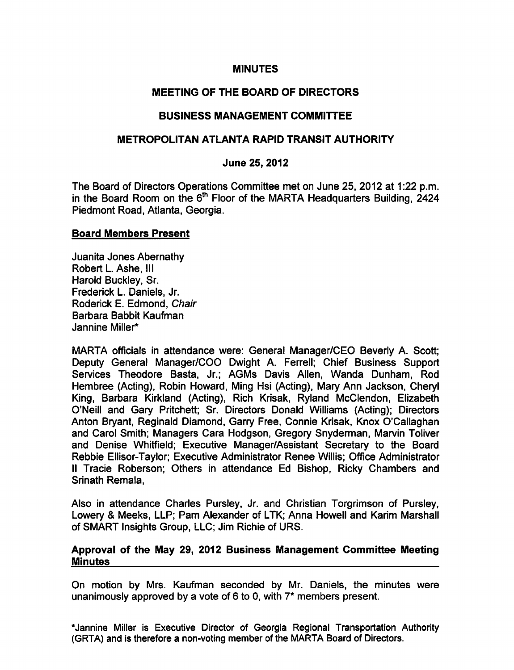#### MINUTES

# MEETING OF THE BOARD OF DIRECTORS

# BUSINESS MANAGEMENT COMMITTEE

# METROPOLITAN ATLANTA RAPID TRANSIT AUTHORITY

### June 25, 2012

The Board of Directors Operations Committee met on June 25, 2012 at 1:22 p.m. in the Board Room on the  $6<sup>th</sup>$  Floor of the MARTA Headquarters Building, 2424 Piedmont Road, Atlanta, Georgia.

#### Board Members Present

Juanita Jones Abernathy Robert L. Ashe, III Harold Buckley, Sr. Frederick L. Daniels, Jr. Roderick E. Edmond, Chair Barbara Babbit Kaufman Jannine Miller\*

MARTA officials in attendance were: General Manager/CEO Beverly A. Scott; Deputy General Manager/COO Dwight A. Ferrell; Chief Business Support Services Theodore Basta, Jr.; AGMs Davis Allen, Wanda Dunham, Rod Hembree (Acting), Robin Howard, Ming Hsi (Acting), Mary Ann Jackson, Cheryl King, Barbara Kirkland (Acting), Rich Krisak, Ryland McClendon, Elizabeth O'Neill and Gary Pritchett; Sr. Directors Donald Williams (Acting); Directors Anton Bryant, Reginald Diamond, Garry Free, Connie Krisak, Knox O'Callaghan and Carol Smith; Managers Cara Hodgson, Gregory Snyderman, Marvin Toliver and Denise Whitfield; Executive Manager/Assistant Secretary to the Board Rebbie Ellisor-Taylor; Executive Administrator Renee Willis; Office Administrator II Tracie Roberson; Others in attendance Ed Bishop, Ricky Chambers and Srinath Remala,

Also in attendance Charles Pursley, Jr. and Christian Torgrimson of Pursley, Lowery & Meeks, LLP; Pam Alexander of LTK; Anna Howell and Karim Marshall of SMART Insights Group, LLC; Jim Richie of URS.

#### Approval of the May 29, 2012 Business Management Committee Meeting **Minutes**

On motion by Mrs. Kaufman seconded by Mr. Daniels, the minutes were unanimously approved by a vote of 6 to 0, with  $7*$  members present.

\*Jannine Miller is Executive Director of Georgia Regional Transportation Authority (GRTA) and is therefore a non-voting member of the MARTA Board of Directors.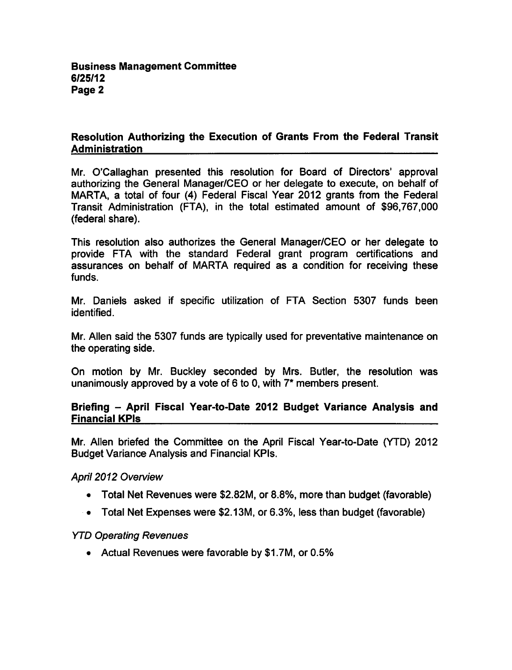# Resolution Authorizing the Execution of Grants From the Federal Transit Administration

Mr. O'Callaghan presented this resolution for Board of Directors' approval authorizing the General Manager/CEO or her delegate to execute, on behalf of MARTA, a total of four (4) Federal Fiscal Year 2012 grants from the Federal Transit Administration (FTA), in the total estimated amount of \$96,767,000 (federal share).

This resolution also authorizes the General Manager/CEO or her delegate to provide FTA with the standard Federal grant program certifications and assurances on behalf of MARTA required as condition for receiving these funds.

Mr. Daniels asked if specific utilization of FTA Section 5307 funds been identified.

Mr. Allen said the 5307 funds are typically used for preventative maintenance on the operating side.

On motion by Mr. Buckley seconded by Mrs. Butler, the resolution was unanimously approved by a vote of 6 to 0, with  $7^*$  members present.

#### Briefing - April Fiscal Year-to-Date 2012 Budget Variance Analysis and Financial KPIs

Mr. Allen briefed the Committee on the April Fiscal Year-to-Date (YTD) 2012 Budget Variance Analysis and Financial KPIs.

April 2012 Overview

- Total Net Revenues were \$2.82M, or 8.8%, more than budget (favorable)
- Total Net Expenses were \$2.13M, or 6.3%, less than budget (favorable)

### YTD Operating Revenues

Actual Revenues were favorable by \$1.7M, or 0.5%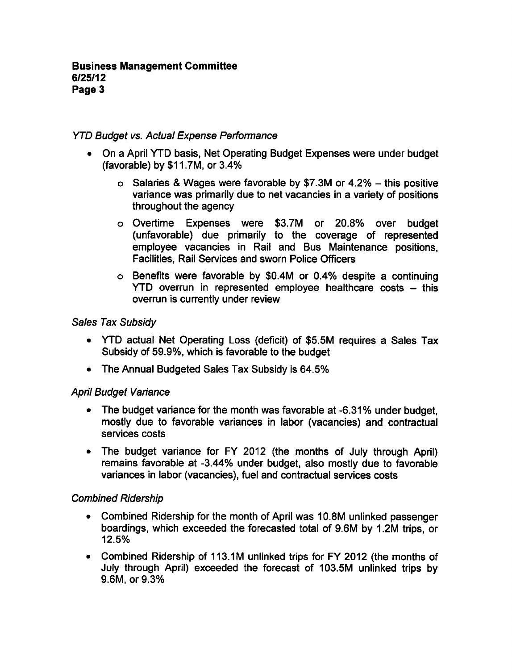# YTD Budget vs. Actual Expense Performance

- On a April YTD basis, Net Operating Budget Expenses were under budget (favorable) by \$11.7M, or 3.4%
	- $\circ$  Salaries & Wages were favorable by \$7.3M or 4.2% this positive variance was primarily due to net vacancies in a variety of positions throughout the agency
	- Overtime Expenses were \$3.7M or 20.8% over budget (unfavorable) due primarily to the coverage of represented employee vacancies in Rail and Bus Maintenance positions, Facilities, Rail Services and sworn Police Officers
	- o Benefits were favorable by \$0.4M or 0.4% despite a continuing  $YTD$  overrun in represented employee healthcare costs  $-$  this overrun is currently under review

### Sales Tax Subsidy

- YTD actual Net Operating Loss (deficit) of \$5.5M requires a Sales Tax Subsidy of 59.9%, which is favorable to the budget
- The Annual Budgeted Sales Tax Subsidy is 64.5%

### April Budget Variance

- The budget variance for the month was favorable at -6.31% under budget, mostly due to favorable variances in labor (vacancies) and contractual services costs
- The budget variance for FY 2012 (the months of July through April) remains favorable at -3.44% under budget, also mostly due to favorable variances in labor (vacancies), fuel and contractual services costs

### Combined Ridership

- Combined Ridership for the month of April was 10.8M unlinked passenger boardings, which exceeded the forecasted total of 9.6M by 1.2M trips, or 12.5%
- Combined Ridership of 113.1M unlinked trips for FY 2012 (the months of July through April) exceeded the forecast of 103.5M unlinked trips by 9.6M, or 9.3%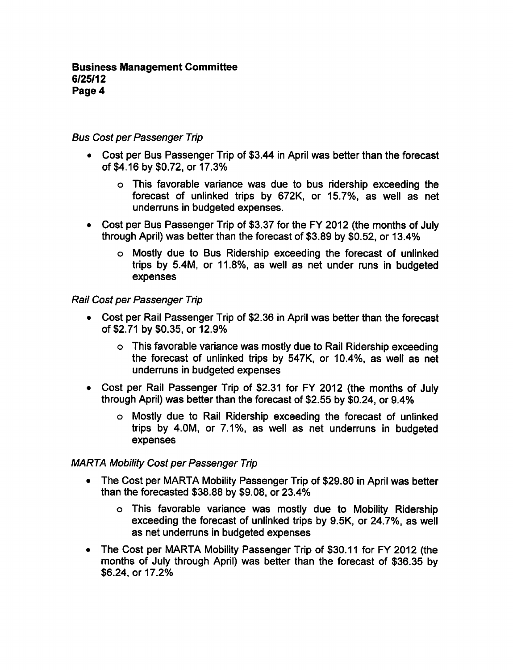### Bus Cost per Passenger Trip

- Cost per Bus Passenger Trip of \$3.44 in April was better than the forecast of \$4.16 by \$0.72, or 17.3%
	- This favorable variance was due to bus ridership exceeding the forecast of unlinked trips by 672K, or 15.7%, as well as net underruns in budgeted expenses.
- Cost per Bus Passenger Trip of \$3.37 for the FY 2012 (the months of July through April) was better than the forecast of \$3.89 by \$0.52, or 13.4%
	- Mostly due to Bus Ridership exceeding the forecast of unlinked trips by 5.4M, or 11.8%, as well as net under runs in budgeted expenses

#### Rail Cost per Passenger Trip

- Cost per Rail Passenger Trip of \$2.36 in April was better than the forecast of \$2.71 by \$0.35, or 12.9%
	- This favorable variance was mostly due to Rail Ridership exceeding the forecast of unlinked trips by 547K, or 10.4%, as well as net underruns in budgeted expenses
- Cost per Rail Passenger Trip of \$2.31 for FY 2012 (the months of July through April) was better than the forecast of \$2.55 by \$0.24, or 9.4%
	- Mostly due to Rail Ridership exceeding the forecast of unlinked trips by 4.0M, or 7.1%, as well as net underruns in budgeted expenses

### MARTA Mobility Cost per Passenger Trip

- The Cost per MARTA Mobility Passenger Trip of \$29.80 in April was better  $\bullet$ than the forecasted \$38.88 by \$9.08, or 23.4%
	- This favorable variance was mostly due to Mobility Ridership exceeding the forecast of unlinked trips by 9.5K, or 24.7%, as well as net underruns in budgeted expenses
- The Cost per MARTA Mobility Passenger Trip of \$30.11 for FY 2012 (the months of July through April) was better than the forecast of \$36.35 by \$6.24, or 17.2%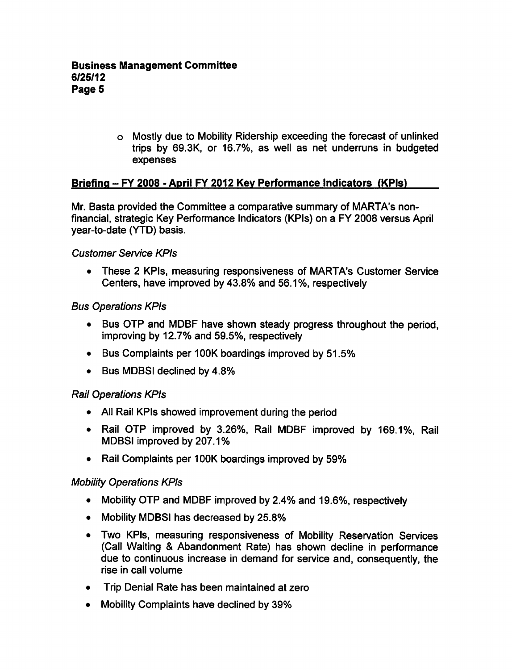Mostly due to Mobility Ridership exceeding the forecast of unlinked trips by 69.3K, or 16.7%, as well as net underruns in budgeted expenses

# Briefing - FY 2008 - April FY 2012 Key Performance Indicators (KPIs)

Mr. Basta provided the Committee a comparative summary of MARTA's nonfinancial, strategic Key Performance Indicators (KPIs) on FY 2008 versus April year-to-date (YTD) basis.

#### Customer Service KPIs

• These 2 KPIs, measuring responsiveness of MARTA's Customer Service Centers, have improved by 43.8% and 56.1%, respectively

### Bus Operations KPIs

- Bus OTP and MDBF have shown steady progress throughout the period, improving by 12.7% and 59.5%, respectively
- Bus Complaints per 100K boardings improved by 51.5%
- Bus MDBSI declined by 4.8%

### Rail Operations KPIs

- All Rail KPIs showed improvement during the period
- Rail OTP improved by 3.26%, Rail MDBF improved by 169.1%, Rail MDBSI improved by 207.1%
- Rail Complaints per 100K boardings improved by 59%

### Mobility Operations KPIs

- Mobility OTP and MDBF improved by 2.4% and 19.6%, respectively
- Mobility MDBSI has decreased by 25.8%
- Two KPIs, measuring responsiveness of Mobility Reservation Services (Call Waiting Abandonment Rate) has shown decline in performance due to continuous increase in demand for service and, consequently, the rise in call volume
- Trip Denial Rate has been maintained at zero
- Mobility Complaints have declined by 39%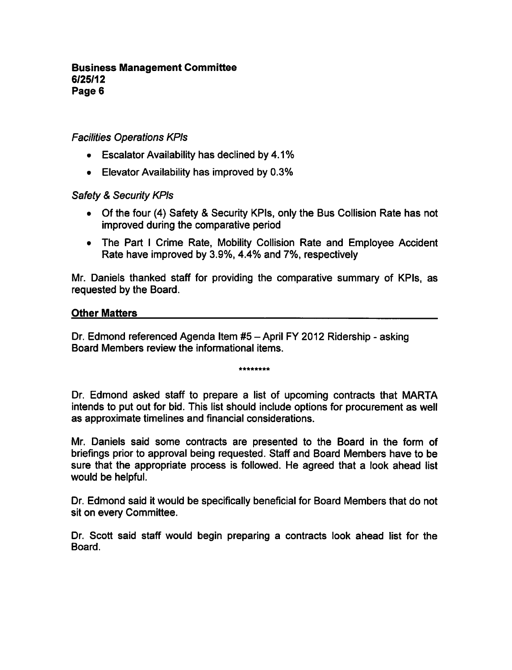### Facilities Operations KPIs

- Escalator Availability has declined by 4.1%
- Elevator Availability has improved by 0.3%

### Safety & Security KPIs

- Of the four (4) Safety & Security KPIs, only the Bus Collision Rate has not improved during the comparative period
- The Part I Crime Rate, Mobility Collision Rate and Employee Accident Rate have improved by 3.9%, 4.4% and 7%, respectively

Mr. Daniels thanked staff for providing the comparative summary of KPIs, as requested by the Board.

#### Other Matters

Dr. Edmond referenced Agenda Item #5 - April FY 2012 Ridership - asking Board Members review the informational items.

\*\*\*\*\*\*\*\*

Dr. Edmond asked staff to prepare a list of upcoming contracts that MARTA intends to put out for bid. This list should include options for procurement as well as approximate timelines and financial considerations.

Mr. Daniels said some contracts are presented to the Board in the form of briefings prior to approval being requested. Staff and Board Members have to be sure that the appropriate process is followed. He agreed that a look ahead list would be helpful.

Dr. Edmond said it would be specifically beneficial for Board Members that do not sit on every Committee.

Dr. Scott said staff would begin preparing a contracts look ahead list for the Board.